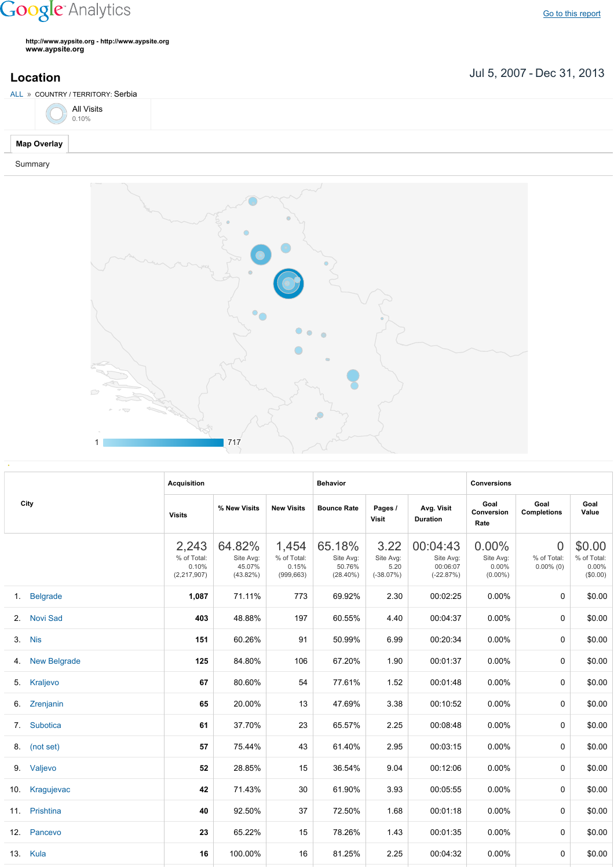## **Google** Analytics

Go to this [report](https://www.google.com/analytics/web/?utm_source=pdfReportLink#report/visitors-geo/a2184169w3912412p4016214/%3F_u.date00%3D20070705%26_u.date01%3D20131231%26geo-table.plotKeys%3D%5B%5D%26geo-table.rowStart%3D0%26geo-table.rowCount%3D1000%26_r.drilldown%3Danalytics.country%3ARS/)

**http://www.aypsite.org http://www.aypsite.org www.aypsite.org**

**Location** Jul 5, 2007 - Dec 31, 2013

|                    | ALL » COUNTRY / TERRITORY: Serbia |  |  |  |
|--------------------|-----------------------------------|--|--|--|
|                    | All Visits                        |  |  |  |
| <b>Map Overlay</b> |                                   |  |  |  |

## Summary



| City |                 | <b>Acquisition</b>                             |                                              |                                             | <b>Behavior</b>                              |                                          |                                                  | <b>Conversions</b>                              |                                               |                                               |
|------|-----------------|------------------------------------------------|----------------------------------------------|---------------------------------------------|----------------------------------------------|------------------------------------------|--------------------------------------------------|-------------------------------------------------|-----------------------------------------------|-----------------------------------------------|
|      |                 | <b>Visits</b>                                  | % New Visits                                 | <b>New Visits</b>                           | <b>Bounce Rate</b>                           | Pages /<br><b>Visit</b>                  | Avg. Visit<br><b>Duration</b>                    | Goal<br>Conversion<br>Rate                      | Goal<br><b>Completions</b>                    | Goal<br>Value                                 |
|      |                 | 2,243<br>% of Total:<br>0.10%<br>(2, 217, 907) | 64.82%<br>Site Avg:<br>45.07%<br>$(43.82\%)$ | 1,454<br>% of Total:<br>0.15%<br>(999, 663) | 65.18%<br>Site Avg:<br>50.76%<br>$(28.40\%)$ | 3.22<br>Site Avg:<br>5.20<br>$(-38.07%)$ | 00:04:43<br>Site Avg:<br>00:06:07<br>$(-22.87%)$ | $0.00\%$<br>Site Avg:<br>$0.00\%$<br>$(0.00\%)$ | $\overline{0}$<br>% of Total:<br>$0.00\%$ (0) | \$0.00<br>% of Total:<br>$0.00\%$<br>(\$0.00) |
| 1.   | <b>Belgrade</b> | 1,087                                          | 71.11%                                       | 773                                         | 69.92%                                       | 2.30                                     | 00:02:25                                         | $0.00\%$                                        | 0                                             | \$0.00                                        |
| 2.   | <b>Novi Sad</b> | 403                                            | 48.88%                                       | 197                                         | 60.55%                                       | 4.40                                     | 00:04:37                                         | $0.00\%$                                        | 0                                             | \$0.00                                        |
|      | 3. Nis          | 151                                            | 60.26%                                       | 91                                          | 50.99%                                       | 6.99                                     | 00:20:34                                         | $0.00\%$                                        | 0                                             | \$0.00                                        |
|      | 4. New Belgrade | 125                                            | 84.80%                                       | 106                                         | 67.20%                                       | 1.90                                     | 00:01:37                                         | $0.00\%$                                        | 0                                             | \$0.00                                        |
|      | 5. Kraljevo     | 67                                             | 80.60%                                       | 54                                          | 77.61%                                       | 1.52                                     | 00:01:48                                         | $0.00\%$                                        | 0                                             | \$0.00                                        |
|      | 6. Zrenjanin    | 65                                             | 20.00%                                       | 13                                          | 47.69%                                       | 3.38                                     | 00:10:52                                         | $0.00\%$                                        | 0                                             | \$0.00                                        |
|      | 7. Subotica     | 61                                             | 37.70%                                       | 23                                          | 65.57%                                       | 2.25                                     | 00:08:48                                         | 0.00%                                           | 0                                             | \$0.00                                        |
|      | 8. (not set)    | 57                                             | 75.44%                                       | 43                                          | 61.40%                                       | 2.95                                     | 00:03:15                                         | 0.00%                                           | 0                                             | \$0.00                                        |
|      | 9. Valjevo      | 52                                             | 28.85%                                       | 15                                          | 36.54%                                       | 9.04                                     | 00:12:06                                         | $0.00\%$                                        | 0                                             | \$0.00                                        |
| 10.  | Kragujevac      | 42                                             | 71.43%                                       | 30                                          | 61.90%                                       | 3.93                                     | 00:05:55                                         | $0.00\%$                                        | 0                                             | \$0.00                                        |
|      | 11. Prishtina   | 40                                             | 92.50%                                       | 37                                          | 72.50%                                       | 1.68                                     | 00:01:18                                         | $0.00\%$                                        | 0                                             | \$0.00                                        |
|      | 12. Pancevo     | 23                                             | 65.22%                                       | 15                                          | 78.26%                                       | 1.43                                     | 00:01:35                                         | $0.00\%$                                        | 0                                             | \$0.00                                        |
|      | 13. Kula        | 16                                             | 100.00%                                      | 16                                          | 81.25%                                       | 2.25                                     | 00:04:32                                         | $0.00\%$                                        | $\Omega$                                      | \$0.00                                        |